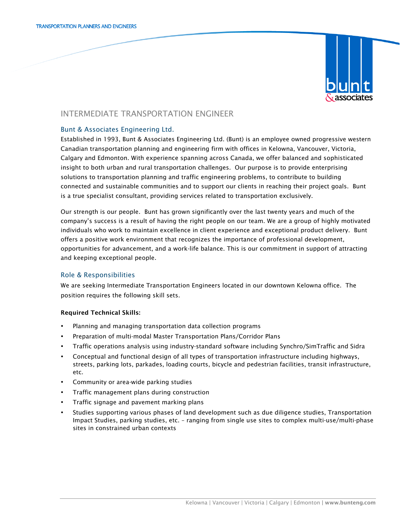

# INTERMEDIATE TRANSPORTATION ENGINEER

## Bunt & Associates Engineering Ltd.

Established in 1993, Bunt & Associates Engineering Ltd. (Bunt) is an employee owned progressive western Canadian transportation planning and engineering firm with offices in Kelowna, Vancouver, Victoria, Calgary and Edmonton. With experience spanning across Canada, we offer balanced and sophisticated insight to both urban and rural transportation challenges. Our purpose is to provide enterprising solutions to transportation planning and traffic engineering problems, to contribute to building connected and sustainable communities and to support our clients in reaching their project goals. Bunt is a true specialist consultant, providing services related to transportation exclusively.

Our strength is our people. Bunt has grown significantly over the last twenty years and much of the company's success is a result of having the right people on our team. We are a group of highly motivated individuals who work to maintain excellence in client experience and exceptional product delivery. Bunt offers a positive work environment that recognizes the importance of professional development, opportunities for advancement, and a work-life balance. This is our commitment in support of attracting and keeping exceptional people.

## Role & Responsibilities

We are seeking Intermediate Transportation Engineers located in our downtown Kelowna office. The position requires the following skill sets.

## Required Technical Skills:

- Planning and managing transportation data collection programs
- Preparation of multi-modal Master Transportation Plans/Corridor Plans
- Traffic operations analysis using industry-standard software including Synchro/SimTraffic and Sidra
- Conceptual and functional design of all types of transportation infrastructure including highways, streets, parking lots, parkades, loading courts, bicycle and pedestrian facilities, transit infrastructure, etc.
- Community or area-wide parking studies
- Traffic management plans during construction
- Traffic signage and pavement marking plans
- Studies supporting various phases of land development such as due diligence studies, Transportation Impact Studies, parking studies, etc. – ranging from single use sites to complex multi-use/multi-phase sites in constrained urban contexts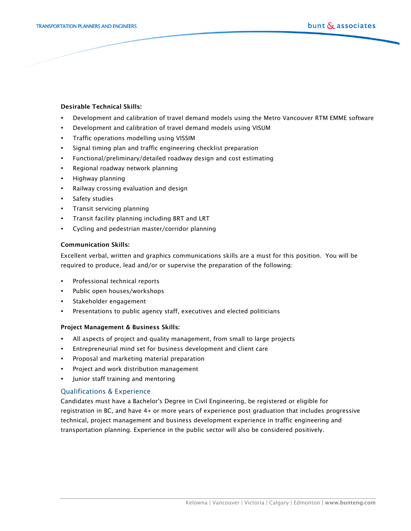#### Desirable Technical Skills:

- Development and calibration of travel demand models using the Metro Vancouver RTM EMME software
- Development and calibration of travel demand models using VISUM
- Traffic operations modelling using VISSIM
- Signal timing plan and traffic engineering checklist preparation
- Functional/preliminary/detailed roadway design and cost estimating
- Regional roadway network planning
- Highway planning
- Railway crossing evaluation and design
- Safety studies
- Transit servicing planning
- Transit facility planning including BRT and LRT
- Cycling and pedestrian master/corridor planning

#### Communication Skills:

Excellent verbal, written and graphics communications skills are a must for this position. You will be required to produce, lead and/or or supervise the preparation of the following:

- Professional technical reports
- Public open houses/workshops
- Stakeholder engagement
- Presentations to public agency staff, executives and elected politicians

#### Project Management & Business Skills:

- All aspects of project and quality management, from small to large projects
- Entrepreneurial mind set for business development and client care
- Proposal and marketing material preparation
- Project and work distribution management
- Junior staff training and mentoring

## Qualifications & Experience

Candidates must have a Bachelor's Degree in Civil Engineering, be registered or eligible for registration in BC, and have 4+ or more years of experience post graduation that includes progressive technical, project management and business development experience in traffic engineering and transportation planning. Experience in the public sector will also be considered positively.